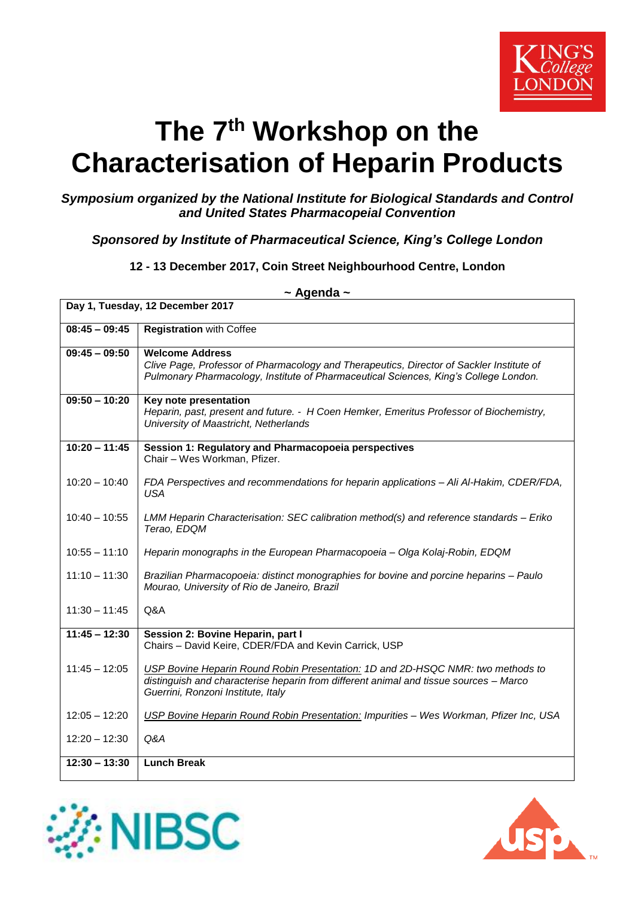

# **The 7 th Workshop on the Characterisation of Heparin Products**

#### *Symposium organized by the National Institute for Biological Standards and Control and United States Pharmacopeial Convention*

## *Sponsored by Institute of Pharmaceutical Science, King's College London*

#### **12 - 13 December 2017, Coin Street Neighbourhood Centre, London**

| Day 1, Tuesday, 12 December 2017 |                                                                                                                                                                                                                |  |
|----------------------------------|----------------------------------------------------------------------------------------------------------------------------------------------------------------------------------------------------------------|--|
| $08:45 - 09:45$                  | <b>Registration with Coffee</b>                                                                                                                                                                                |  |
| $09:45 - 09:50$                  | <b>Welcome Address</b><br>Clive Page, Professor of Pharmacology and Therapeutics, Director of Sackler Institute of<br>Pulmonary Pharmacology, Institute of Pharmaceutical Sciences, King's College London.     |  |
| $09:50 - 10:20$                  | Key note presentation<br>Heparin, past, present and future. - H Coen Hemker, Emeritus Professor of Biochemistry,<br>University of Maastricht, Netherlands                                                      |  |
| $10:20 - 11:45$                  | Session 1: Regulatory and Pharmacopoeia perspectives<br>Chair - Wes Workman, Pfizer.                                                                                                                           |  |
| $10:20 - 10:40$                  | FDA Perspectives and recommendations for heparin applications - Ali Al-Hakim, CDER/FDA,<br><b>USA</b>                                                                                                          |  |
| $10:40 - 10:55$                  | LMM Heparin Characterisation: SEC calibration method(s) and reference standards - Eriko<br>Terao, EDQM                                                                                                         |  |
| $10:55 - 11:10$                  | Heparin monographs in the European Pharmacopoeia - Olga Kolaj-Robin, EDQM                                                                                                                                      |  |
| $11:10 - 11:30$                  | Brazilian Pharmacopoeia: distinct monographies for bovine and porcine heparins - Paulo<br>Mourao, University of Rio de Janeiro, Brazil                                                                         |  |
| $11:30 - 11:45$                  | Q&A                                                                                                                                                                                                            |  |
| $11:45 - 12:30$                  | Session 2: Bovine Heparin, part I<br>Chairs - David Keire, CDER/FDA and Kevin Carrick, USP                                                                                                                     |  |
| $11:45 - 12:05$                  | USP Bovine Heparin Round Robin Presentation: 1D and 2D-HSQC NMR: two methods to<br>distinguish and characterise heparin from different animal and tissue sources - Marco<br>Guerrini, Ronzoni Institute, Italy |  |
| $12:05 - 12:20$                  | USP Bovine Heparin Round Robin Presentation: Impurities - Wes Workman, Pfizer Inc, USA                                                                                                                         |  |
| $12:20 - 12:30$                  | Q&A                                                                                                                                                                                                            |  |
| $12:30 - 13:30$                  | <b>Lunch Break</b>                                                                                                                                                                                             |  |

## **~ Agenda ~**



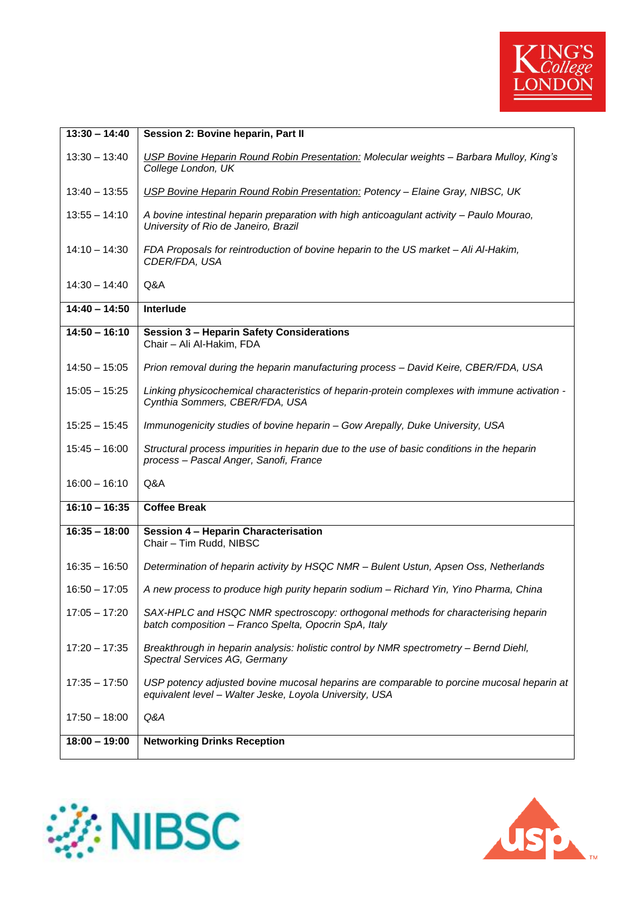

| $13:30 - 14:40$ | Session 2: Bovine heparin, Part II                                                                                                                   |
|-----------------|------------------------------------------------------------------------------------------------------------------------------------------------------|
| $13:30 - 13:40$ | USP Bovine Heparin Round Robin Presentation: Molecular weights - Barbara Mulloy, King's<br>College London, UK                                        |
| $13:40 - 13:55$ | USP Bovine Heparin Round Robin Presentation: Potency - Elaine Gray, NIBSC, UK                                                                        |
| $13:55 - 14:10$ | A bovine intestinal heparin preparation with high anticoagulant activity - Paulo Mourao,<br>University of Rio de Janeiro, Brazil                     |
| $14:10 - 14:30$ | FDA Proposals for reintroduction of bovine heparin to the US market - Ali Al-Hakim,<br>CDER/FDA, USA                                                 |
| $14:30 - 14:40$ | Q&A                                                                                                                                                  |
| $14:40 - 14:50$ | Interlude                                                                                                                                            |
| $14:50 - 16:10$ | <b>Session 3 - Heparin Safety Considerations</b><br>Chair - Ali Al-Hakim, FDA                                                                        |
| $14:50 - 15:05$ | Prion removal during the heparin manufacturing process - David Keire, CBER/FDA, USA                                                                  |
| $15:05 - 15:25$ | Linking physicochemical characteristics of heparin-protein complexes with immune activation -<br>Cynthia Sommers, CBER/FDA, USA                      |
| $15:25 - 15:45$ | Immunogenicity studies of bovine heparin - Gow Arepally, Duke University, USA                                                                        |
| $15:45 - 16:00$ | Structural process impurities in heparin due to the use of basic conditions in the heparin<br>process - Pascal Anger, Sanofi, France                 |
| $16:00 - 16:10$ | Q&A                                                                                                                                                  |
| $16:10 - 16:35$ | <b>Coffee Break</b>                                                                                                                                  |
| $16:35 - 18:00$ | Session 4 - Heparin Characterisation<br>Chair - Tim Rudd, NIBSC                                                                                      |
| $16:35 - 16:50$ | Determination of heparin activity by HSQC NMR - Bulent Ustun, Apsen Oss, Netherlands                                                                 |
| $16:50 - 17:05$ | A new process to produce high purity heparin sodium - Richard Yin, Yino Pharma, China                                                                |
| $17:05 - 17:20$ | SAX-HPLC and HSQC NMR spectroscopy: orthogonal methods for characterising heparin<br>batch composition - Franco Spelta, Opocrin SpA, Italy           |
| $17:20 - 17:35$ | Breakthrough in heparin analysis: holistic control by NMR spectrometry - Bernd Diehl,<br>Spectral Services AG, Germany                               |
| $17:35 - 17:50$ | USP potency adjusted bovine mucosal heparins are comparable to porcine mucosal heparin at<br>equivalent level - Walter Jeske, Loyola University, USA |
| $17:50 - 18:00$ | Q&A                                                                                                                                                  |
| $18:00 - 19:00$ | <b>Networking Drinks Reception</b>                                                                                                                   |